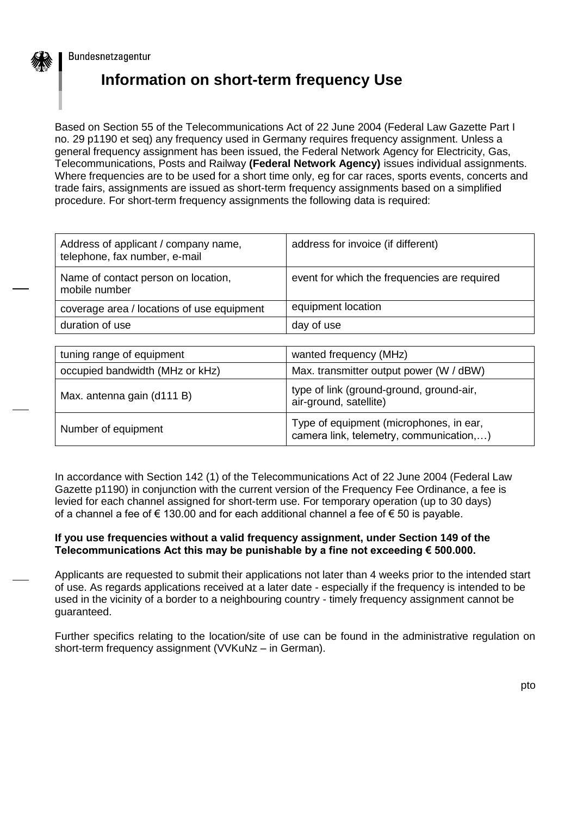

Bundesnetzagentur

## **Information on short-term frequency Use**

Based on Section 55 of the Telecommunications Act of 22 June 2004 (Federal Law Gazette Part I no. 29 p1190 et seq) any frequency used in Germany requires frequency assignment. Unless a general frequency assignment has been issued, the Federal Network Agency for Electricity, Gas, Telecommunications, Posts and Railway **(Federal Network Agency)** issues individual assignments. Where frequencies are to be used for a short time only, eg for car races, sports events, concerts and trade fairs, assignments are issued as short-term frequency assignments based on a simplified procedure. For short-term frequency assignments the following data is required:

| Address of applicant / company name,<br>telephone, fax number, e-mail | address for invoice (if different)           |  |  |  |
|-----------------------------------------------------------------------|----------------------------------------------|--|--|--|
| Name of contact person on location,<br>mobile number                  | event for which the frequencies are required |  |  |  |
| coverage area / locations of use equipment                            | equipment location                           |  |  |  |
| duration of use                                                       | day of use                                   |  |  |  |

| tuning range of equipment       | wanted frequency (MHz)                                                             |  |  |  |  |
|---------------------------------|------------------------------------------------------------------------------------|--|--|--|--|
| occupied bandwidth (MHz or kHz) | Max. transmitter output power (W / dBW)                                            |  |  |  |  |
| Max. antenna gain (d111 B)      | type of link (ground-ground, ground-air,<br>air-ground, satellite)                 |  |  |  |  |
| Number of equipment             | Type of equipment (microphones, in ear,<br>camera link, telemetry, communication,) |  |  |  |  |

In accordance with Section 142 (1) of the Telecommunications Act of 22 June 2004 (Federal Law Gazette p1190) in conjunction with the current version of the Frequency Fee Ordinance, a fee is levied for each channel assigned for short-term use. For temporary operation (up to 30 days) of a channel a fee of € 130.00 and for each additional channel a fee of € 50 is payable.

## **If you use frequencies without a valid frequency assignment, under Section 149 of the Telecommunications Act this may be punishable by a fine not exceeding € 500.000.**

Applicants are requested to submit their applications not later than 4 weeks prior to the intended start of use. As regards applications received at a later date - especially if the frequency is intended to be used in the vicinity of a border to a neighbouring country - timely frequency assignment cannot be guaranteed.

Further specifics relating to the location/site of use can be found in the administrative regulation on short-term frequency assignment (VVKuNz – in German).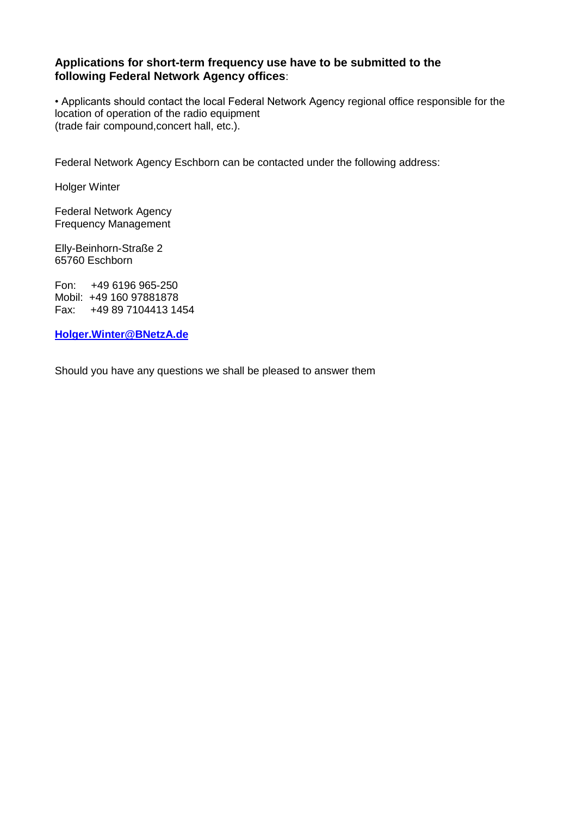## **Applications for short-term frequency use have to be submitted to the following Federal Network Agency offices**:

• Applicants should contact the local Federal Network Agency regional office responsible for the location of operation of the radio equipment (trade fair compound,concert hall, etc.).

Federal Network Agency Eschborn can be contacted under the following address:

Holger Winter

Federal Network Agency Frequency Management

Elly-Beinhorn-Straße 2 65760 Eschborn

Fon: +49 6196 965-250 Mobil: +49 160 97881878 Fax: +49 89 7104413 1454

**[Holger.Winter@BNetzA.de](mailto:Holger.Winter@BNetzA.de)**

Should you have any questions we shall be pleased to answer them